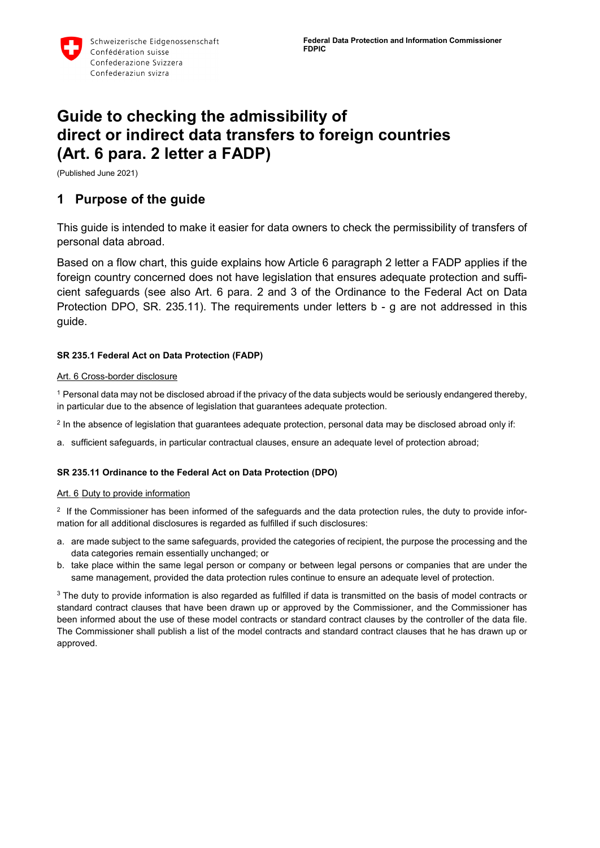

# **Guide to checking the admissibility of direct or indirect data transfers to foreign countries (Art. 6 para. 2 letter a FADP)**

(Published June 2021)

# **1 Purpose of the guide**

This guide is intended to make it easier for data owners to check the permissibility of transfers of personal data abroad.

Based on a flow chart, this guide explains how Article 6 paragraph 2 letter a FADP applies if the foreign country concerned does not have legislation that ensures adequate protection and sufficient safeguards (see also Art. 6 para. 2 and 3 of the Ordinance to the Federal Act on Data Protection DPO, SR. 235.11). The requirements under letters b - g are not addressed in this guide.

#### **SR 235.1 Federal Act on Data Protection (FADP)**

#### [Art.](https://www.fedlex.admin.ch/eli/cc/1993/1945_1945_1945/de#art_6) 6 Cross-border disclosure

<sup>1</sup> Personal data may not be disclosed abroad if the privacy of the data subjects would be seriously endangered thereby, in particular due to the absence of legislation that guarantees adequate protection.

 $2$  In the absence of legislation that guarantees adequate protection, personal data may be disclosed abroad only if:

a. sufficient safeguards, in particular contractual clauses, ensure an adequate level of protection abroad;

#### **SR 235.11 Ordinance to the Federal Act on Data Protection (DPO)**

#### [Art.](https://www.fedlex.admin.ch/eli/cc/1993/1962_1962_1962/de#art_6) 6 Duty to provide information

<sup>2</sup> If the Commissioner has been informed of the safeguards and the data protection rules, the duty to provide information for all additional disclosures is regarded as fulfilled if such disclosures:

- a. are made subject to the same safeguards, provided the categories of recipient, the purpose the processing and the data categories remain essentially unchanged; or
- b. take place within the same legal person or company or between legal persons or companies that are under the same management, provided the data protection rules continue to ensure an adequate level of protection.

<sup>3</sup> The duty to provide information is also regarded as fulfilled if data is transmitted on the basis of model contracts or standard contract clauses that have been drawn up or approved by the Commissioner, and the Commissioner has been informed about the use of these model contracts or standard contract clauses by the controller of the data file. The Commissioner shall publish a list of the model contracts and standard contract clauses that he has drawn up or approved.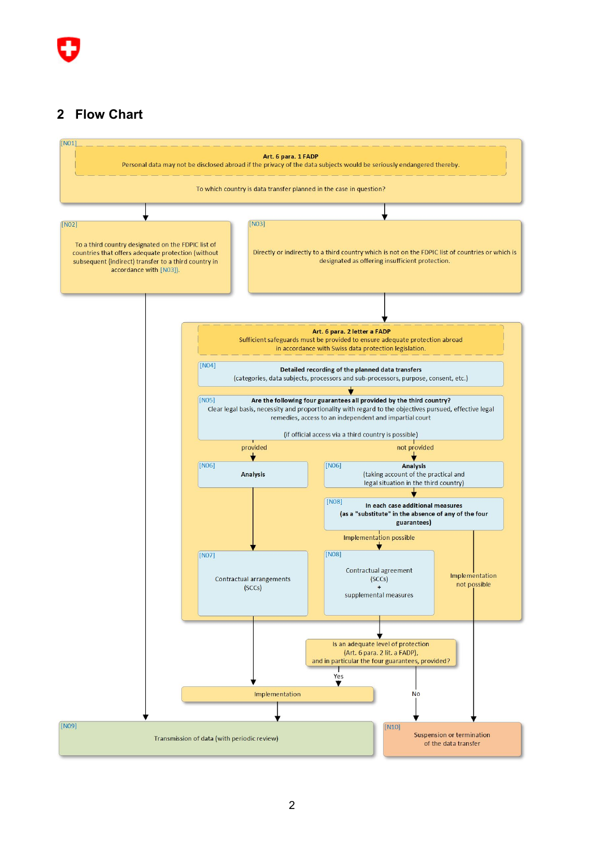# **Flow Chart**

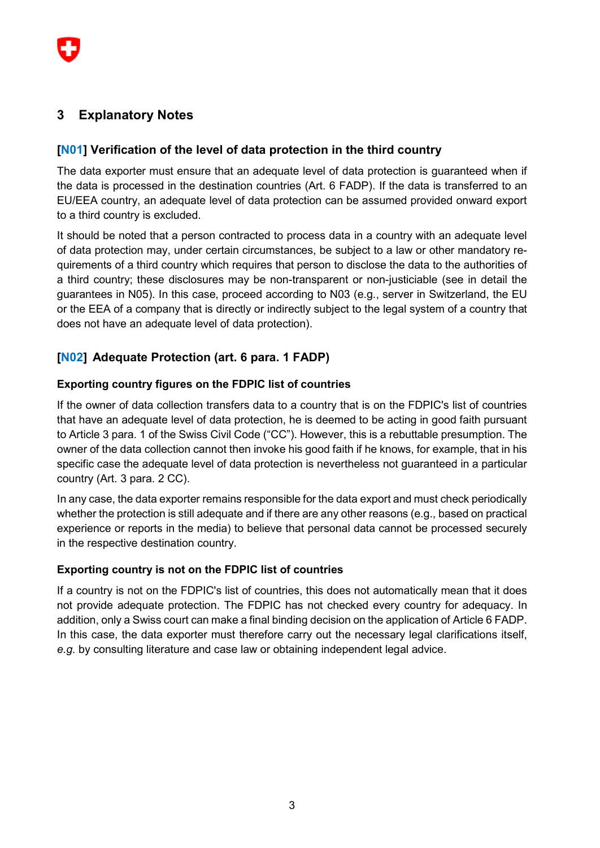# **3 Explanatory Notes**

## **[N01] Verification of the level of data protection in the third country**

The data exporter must ensure that an adequate level of data protection is guaranteed when if the data is processed in the destination countries (Art. 6 FADP). If the data is transferred to an EU/EEA country, an adequate level of data protection can be assumed provided onward export to a third country is excluded.

It should be noted that a person contracted to process data in a country with an adequate level of data protection may, under certain circumstances, be subject to a law or other mandatory requirements of a third country which requires that person to disclose the data to the authorities of a third country; these disclosures may be non-transparent or non-justiciable (see in detail the guarantees in N05). In this case, proceed according to N03 (e.g., server in Switzerland, the EU or the EEA of a company that is directly or indirectly subject to the legal system of a country that does not have an adequate level of data protection).

# **[N02] Adequate Protection (art. 6 para. 1 FADP)**

#### **Exporting country figures on the FDPIC list of countries**

If the owner of data collection transfers data to a country that is on the FDPIC's list of countries that have an adequate level of data protection, he is deemed to be acting in good faith pursuant to Article 3 para. 1 of the Swiss Civil Code ("CC"). However, this is a rebuttable presumption. The owner of the data collection cannot then invoke his good faith if he knows, for example, that in his specific case the adequate level of data protection is nevertheless not guaranteed in a particular country (Art. 3 para. 2 CC).

In any case, the data exporter remains responsible for the data export and must check periodically whether the protection is still adequate and if there are any other reasons (e.g., based on practical experience or reports in the media) to believe that personal data cannot be processed securely in the respective destination country.

#### **Exporting country is not on the FDPIC list of countries**

If a country is not on the FDPIC's list of countries, this does not automatically mean that it does not provide adequate protection. The FDPIC has not checked every country for adequacy. In addition, only a Swiss court can make a final binding decision on the application of Article 6 FADP. In this case, the data exporter must therefore carry out the necessary legal clarifications itself, *e.g.* by consulting literature and case law or obtaining independent legal advice.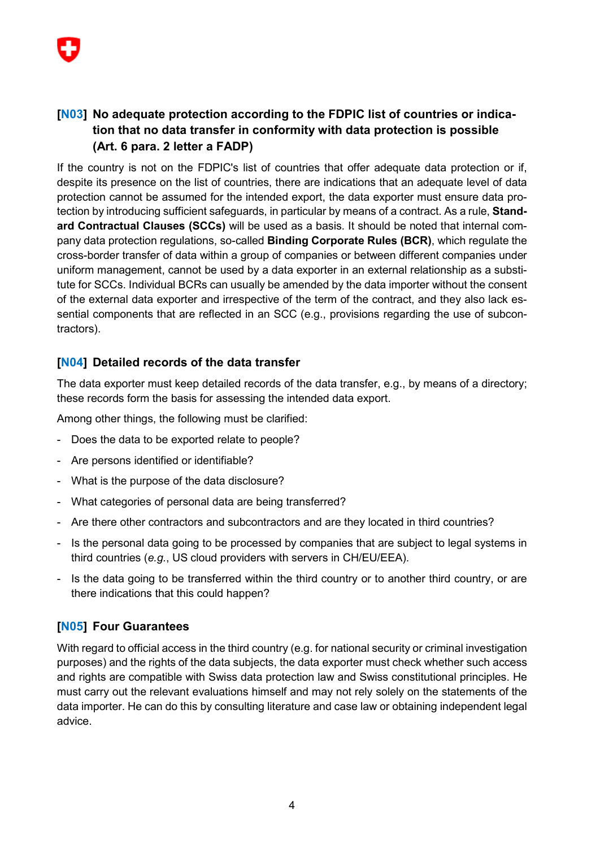# **[N03] No adequate protection according to the FDPIC list of countries or indication that no data transfer in conformity with data protection is possible (Art. 6 para. 2 letter a FADP)**

If the country is not on the FDPIC's list of countries that offer adequate data protection or if, despite its presence on the list of countries, there are indications that an adequate level of data protection cannot be assumed for the intended export, the data exporter must ensure data protection by introducing sufficient safeguards, in particular by means of a contract. As a rule, **Standard Contractual Clauses (SCCs)** will be used as a basis. It should be noted that internal company data protection regulations, so-called **Binding Corporate Rules (BCR)**, which regulate the cross-border transfer of data within a group of companies or between different companies under uniform management, cannot be used by a data exporter in an external relationship as a substitute for SCCs. Individual BCRs can usually be amended by the data importer without the consent of the external data exporter and irrespective of the term of the contract, and they also lack essential components that are reflected in an SCC (e.g., provisions regarding the use of subcontractors).

# **[N04] Detailed records of the data transfer**

The data exporter must keep detailed records of the data transfer, e.g., by means of a directory; these records form the basis for assessing the intended data export.

Among other things, the following must be clarified:

- Does the data to be exported relate to people?
- Are persons identified or identifiable?
- What is the purpose of the data disclosure?
- What categories of personal data are being transferred?
- Are there other contractors and subcontractors and are they located in third countries?
- Is the personal data going to be processed by companies that are subject to legal systems in third countries (*e.g.*, US cloud providers with servers in CH/EU/EEA).
- Is the data going to be transferred within the third country or to another third country, or are there indications that this could happen?

## **[N05] Four Guarantees**

With regard to official access in the third country (e.g. for national security or criminal investigation purposes) and the rights of the data subjects, the data exporter must check whether such access and rights are compatible with Swiss data protection law and Swiss constitutional principles. He must carry out the relevant evaluations himself and may not rely solely on the statements of the data importer. He can do this by consulting literature and case law or obtaining independent legal advice.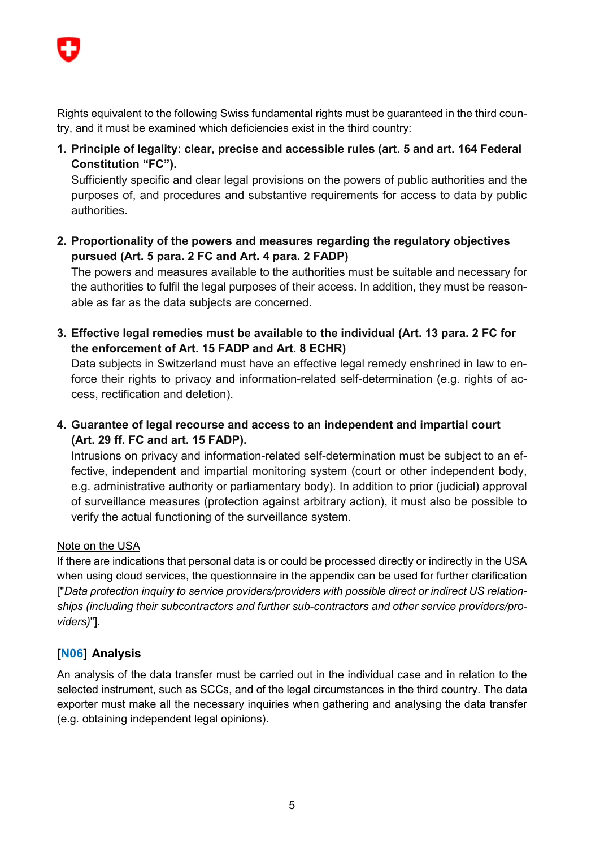

Rights equivalent to the following Swiss fundamental rights must be guaranteed in the third country, and it must be examined which deficiencies exist in the third country:

**1. Principle of legality: clear, precise and accessible rules (art. 5 and art. 164 Federal Constitution "FC").**

Sufficiently specific and clear legal provisions on the powers of public authorities and the purposes of, and procedures and substantive requirements for access to data by public authorities.

**2. Proportionality of the powers and measures regarding the regulatory objectives pursued (Art. 5 para. 2 FC and Art. 4 para. 2 FADP)**

The powers and measures available to the authorities must be suitable and necessary for the authorities to fulfil the legal purposes of their access. In addition, they must be reasonable as far as the data subjects are concerned.

**3. Effective legal remedies must be available to the individual (Art. 13 para. 2 FC for the enforcement of Art. 15 FADP and Art. 8 ECHR)**

Data subjects in Switzerland must have an effective legal remedy enshrined in law to enforce their rights to privacy and information-related self-determination (e.g. rights of access, rectification and deletion).

**4. Guarantee of legal recourse and access to an independent and impartial court (Art. 29 ff. FC and art. 15 FADP).**

Intrusions on privacy and information-related self-determination must be subject to an effective, independent and impartial monitoring system (court or other independent body, e.g. administrative authority or parliamentary body). In addition to prior (judicial) approval of surveillance measures (protection against arbitrary action), it must also be possible to verify the actual functioning of the surveillance system.

## Note on the USA

If there are indications that personal data is or could be processed directly or indirectly in the USA when using cloud services, the questionnaire in the appendix can be used for further clarification ["*Data protection inquiry to service providers/providers with possible direct or indirect US relationships (including their subcontractors and further sub-contractors and other service providers/providers)*"].

# **[N06] Analysis**

An analysis of the data transfer must be carried out in the individual case and in relation to the selected instrument, such as SCCs, and of the legal circumstances in the third country. The data exporter must make all the necessary inquiries when gathering and analysing the data transfer (e.g. obtaining independent legal opinions).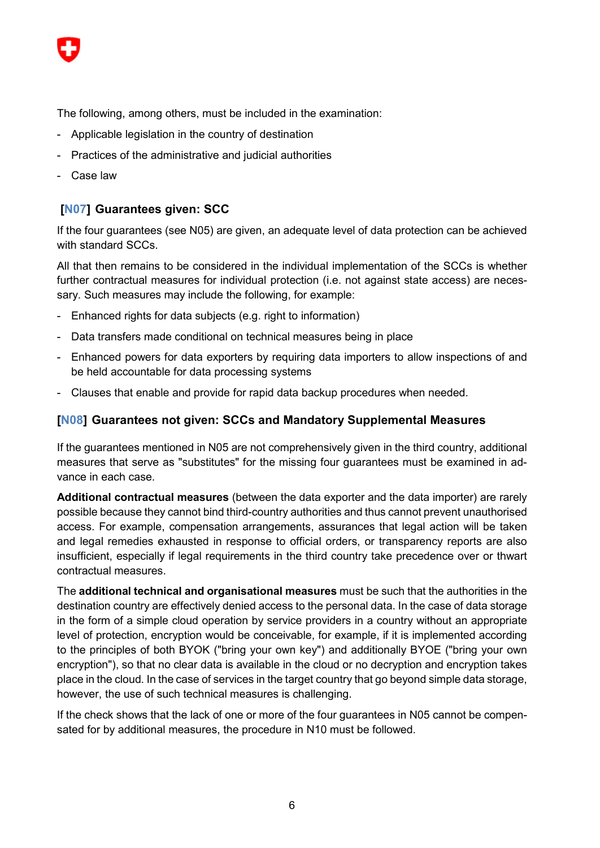

The following, among others, must be included in the examination:

- Applicable legislation in the country of destination
- Practices of the administrative and judicial authorities
- Case law

### **[N07] Guarantees given: SCC**

If the four guarantees (see N05) are given, an adequate level of data protection can be achieved with standard SCCs.

All that then remains to be considered in the individual implementation of the SCCs is whether further contractual measures for individual protection (i.e. not against state access) are necessary. Such measures may include the following, for example:

- Enhanced rights for data subjects (e.g. right to information)
- Data transfers made conditional on technical measures being in place
- Enhanced powers for data exporters by requiring data importers to allow inspections of and be held accountable for data processing systems
- Clauses that enable and provide for rapid data backup procedures when needed.

#### **[N08] Guarantees not given: SCCs and Mandatory Supplemental Measures**

If the guarantees mentioned in N05 are not comprehensively given in the third country, additional measures that serve as "substitutes" for the missing four guarantees must be examined in advance in each case.

**Additional contractual measures** (between the data exporter and the data importer) are rarely possible because they cannot bind third-country authorities and thus cannot prevent unauthorised access. For example, compensation arrangements, assurances that legal action will be taken and legal remedies exhausted in response to official orders, or transparency reports are also insufficient, especially if legal requirements in the third country take precedence over or thwart contractual measures.

The **additional technical and organisational measures** must be such that the authorities in the destination country are effectively denied access to the personal data. In the case of data storage in the form of a simple cloud operation by service providers in a country without an appropriate level of protection, encryption would be conceivable, for example, if it is implemented according to the principles of both BYOK ("bring your own key") and additionally BYOE ("bring your own encryption"), so that no clear data is available in the cloud or no decryption and encryption takes place in the cloud. In the case of services in the target country that go beyond simple data storage, however, the use of such technical measures is challenging.

If the check shows that the lack of one or more of the four guarantees in N05 cannot be compensated for by additional measures, the procedure in N10 must be followed.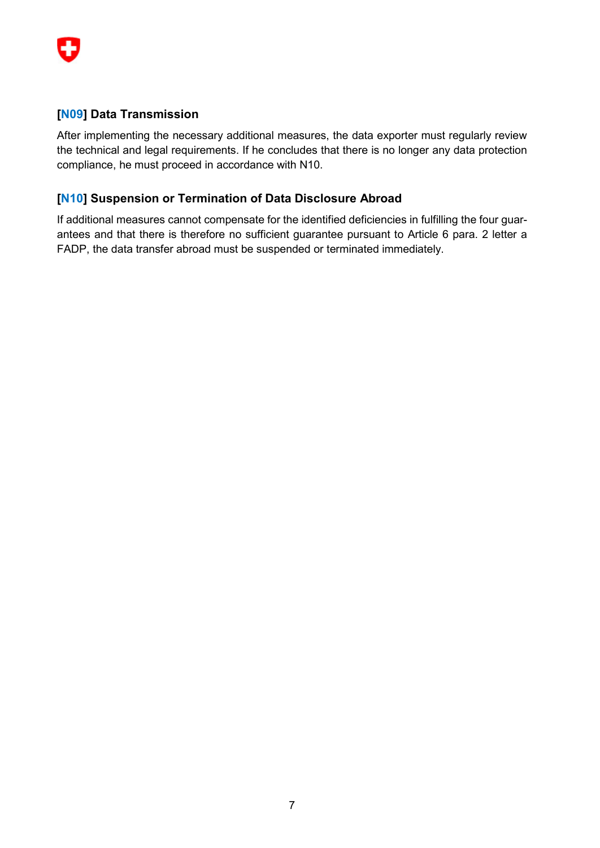

### **[N09] Data Transmission**

After implementing the necessary additional measures, the data exporter must regularly review the technical and legal requirements. If he concludes that there is no longer any data protection compliance, he must proceed in accordance with N10.

### **[N10] Suspension or Termination of Data Disclosure Abroad**

If additional measures cannot compensate for the identified deficiencies in fulfilling the four guarantees and that there is therefore no sufficient guarantee pursuant to Article 6 para. 2 letter a FADP, the data transfer abroad must be suspended or terminated immediately.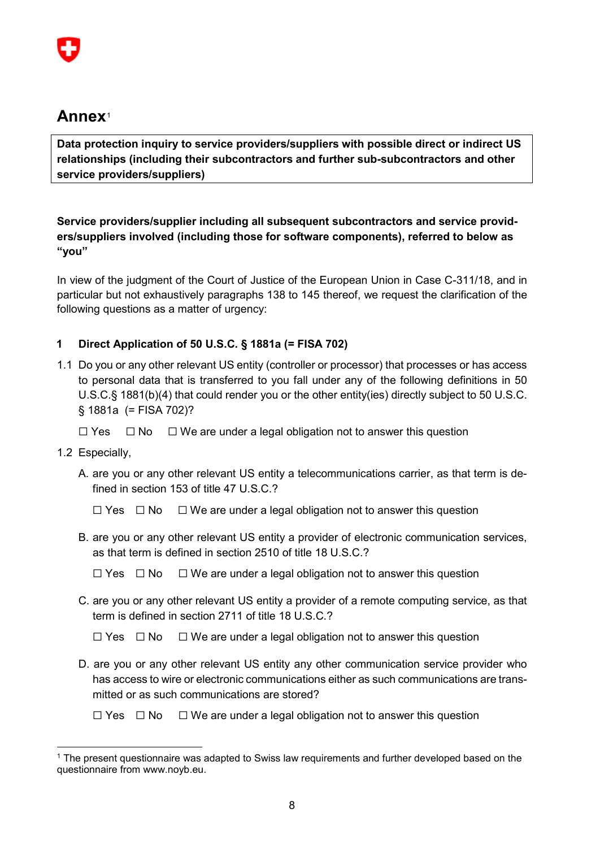# **Annex**[1](#page-7-0)

**Data protection inquiry to service providers/suppliers with possible direct or indirect US relationships (including their subcontractors and further sub-subcontractors and other service providers/suppliers)** 

**Service providers/supplier including all subsequent subcontractors and service providers/suppliers involved (including those for software components), referred to below as "you"**

In view of the judgment of the Court of Justice of the European Union in Case C-311/18, and in particular but not exhaustively paragraphs 138 to 145 thereof, we request the clarification of the following questions as a matter of urgency:

## **1 Direct Application of 50 U.S.C. § 1881a (= FISA 702)**

- 1.1 Do you or any other relevant US entity (controller or processor) that processes or has access to personal data that is transferred to you fall under any of the following definitions in 50 U.S.C.§ 1881(b)(4) that could render you or the other entity(ies) directly subject to 50 U.S.C. § 1881a (= FISA 702)?
	- ☐ Yes ☐ No ☐ We are under a legal obligation not to answer this question
- 1.2 Especially,
	- A. are you or any other relevant US entity a telecommunications carrier, as that term is defined in section 153 of title 47 U.S.C.?
		- ☐ Yes ☐ No ☐ We are under a legal obligation not to answer this question
	- B. are you or any other relevant US entity a provider of electronic communication services, as that term is defined in section 2510 of title 18 U.S.C.?
		- $\Box$  Yes  $\Box$  No  $\Box$  We are under a legal obligation not to answer this question
	- C. are you or any other relevant US entity a provider of a remote computing service, as that term is defined in section 2711 of title 18 U.S.C.?

☐ Yes ☐ No ☐ We are under a legal obligation not to answer this question

- D. are you or any other relevant US entity any other communication service provider who has access to wire or electronic communications either as such communications are transmitted or as such communications are stored?
	- ☐ Yes ☐ No ☐ We are under a legal obligation not to answer this question

<span id="page-7-0"></span> <sup>1</sup> The present questionnaire was adapted to Swiss law requirements and further developed based on the questionnaire from www.noyb.eu.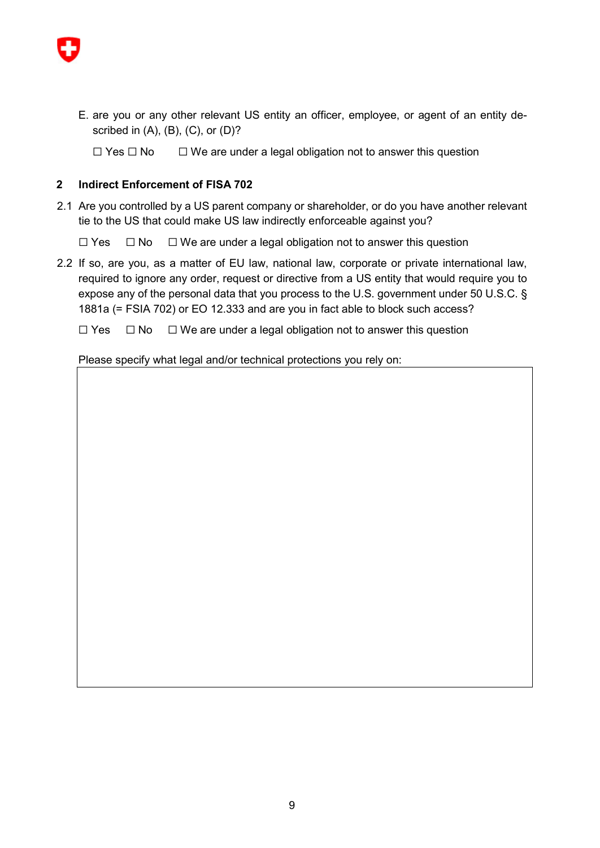

E. are you or any other relevant US entity an officer, employee, or agent of an entity described in  $(A)$ ,  $(B)$ ,  $(C)$ , or  $(D)$ ?

☐ Yes ☐ No ☐ We are under a legal obligation not to answer this question

#### **2 Indirect Enforcement of FISA 702**

2.1 Are you controlled by a US parent company or shareholder, or do you have another relevant tie to the US that could make US law indirectly enforceable against you?

☐ Yes ☐ No ☐ We are under a legal obligation not to answer this question

2.2 If so, are you, as a matter of EU law, national law, corporate or private international law, required to ignore any order, request or directive from a US entity that would require you to expose any of the personal data that you process to the U.S. government under 50 U.S.C. § 1881a (= FSIA 702) or EO 12.333 and are you in fact able to block such access?

☐ Yes ☐ No ☐ We are under a legal obligation not to answer this question

Please specify what legal and/or technical protections you rely on: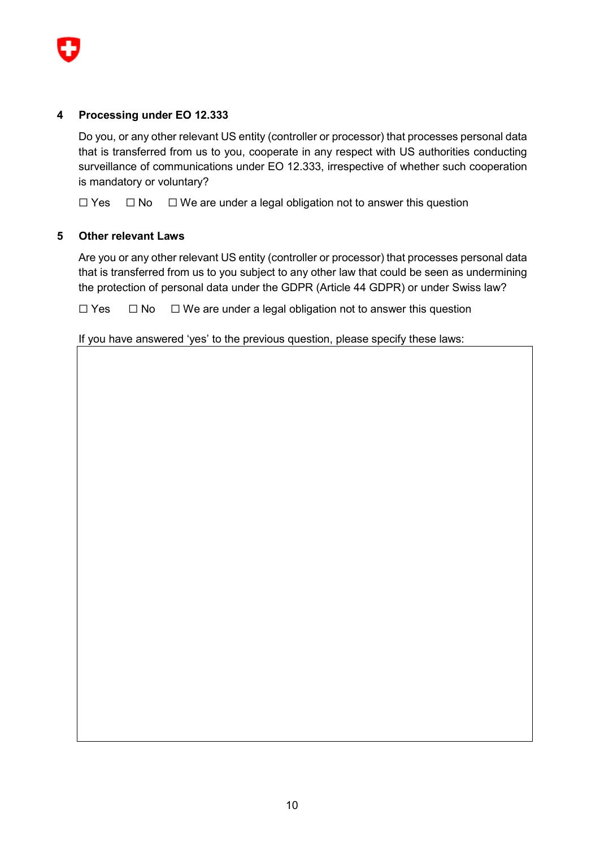

#### **4 Processing under EO 12.333**

Do you, or any other relevant US entity (controller or processor) that processes personal data that is transferred from us to you, cooperate in any respect with US authorities conducting surveillance of communications under EO 12.333, irrespective of whether such cooperation is mandatory or voluntary?

☐ Yes ☐ No ☐ We are under a legal obligation not to answer this question

#### **5 Other relevant Laws**

Are you or any other relevant US entity (controller or processor) that processes personal data that is transferred from us to you subject to any other law that could be seen as undermining the protection of personal data under the GDPR (Article 44 GDPR) or under Swiss law?

☐ Yes ☐ No ☐ We are under a legal obligation not to answer this question

If you have answered 'yes' to the previous question, please specify these laws: